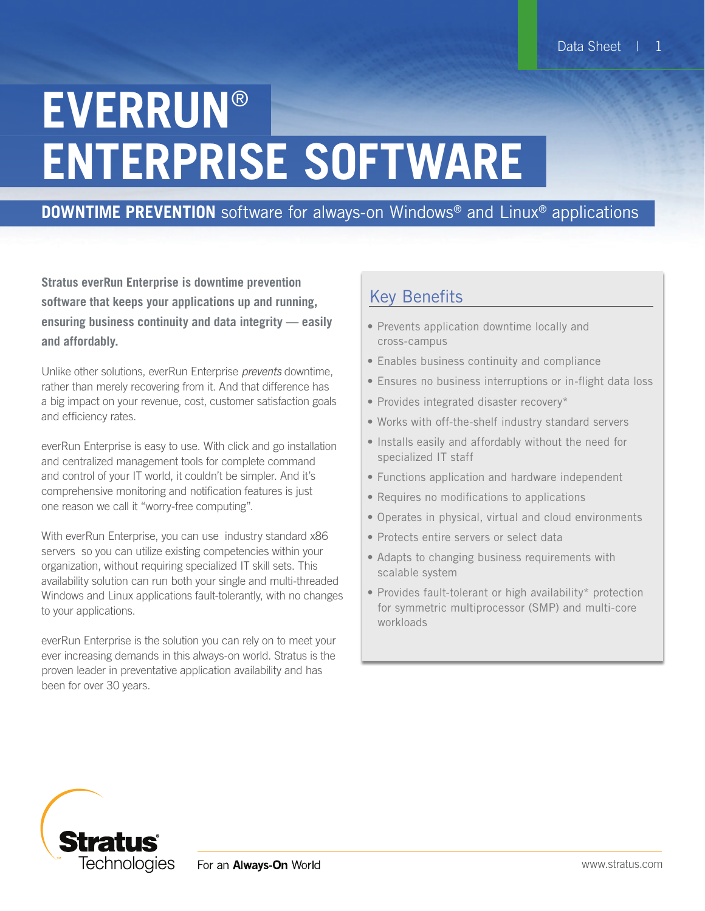# **EVERRUN**® **ENTERPRISE SOFTWARE**

# **DOWNTIME PREVENTION** software for always-on Windows® and Linux® applications

**Stratus everRun Enterprise is downtime prevention software that keeps your applications up and running, ensuring business continuity and data integrity — easily and affordably.**

Unlike other solutions, everRun Enterprise *prevents* downtime, rather than merely recovering from it. And that difference has a big impact on your revenue, cost, customer satisfaction goals and efficiency rates.

everRun Enterprise is easy to use. With click and go installation and centralized management tools for complete command and control of your IT world, it couldn't be simpler. And it's comprehensive monitoring and notification features is just one reason we call it "worry-free computing".

With everRun Enterprise, you can use industry standard x86 servers so you can utilize existing competencies within your organization, without requiring specialized IT skill sets. This availability solution can run both your single and multi-threaded Windows and Linux applications fault-tolerantly, with no changes to your applications.

everRun Enterprise is the solution you can rely on to meet your ever increasing demands in this always-on world. Stratus is the proven leader in preventative application availability and has been for over 30 years.

# Key Benefits

- Prevents application downtime locally and cross-campus
- Enables business continuity and compliance
- Ensures no business interruptions or in-flight data loss
- Provides integrated disaster recovery\*
- • Works with off-the-shelf industry standard servers
- Installs easily and affordably without the need for specialized IT staff
- Functions application and hardware independent
- Requires no modifications to applications
- Operates in physical, virtual and cloud environments
- Protects entire servers or select data
- Adapts to changing business requirements with scalable system
- Provides fault-tolerant or high availability\* protection for symmetric multiprocessor (SMP) and multi-core workloads

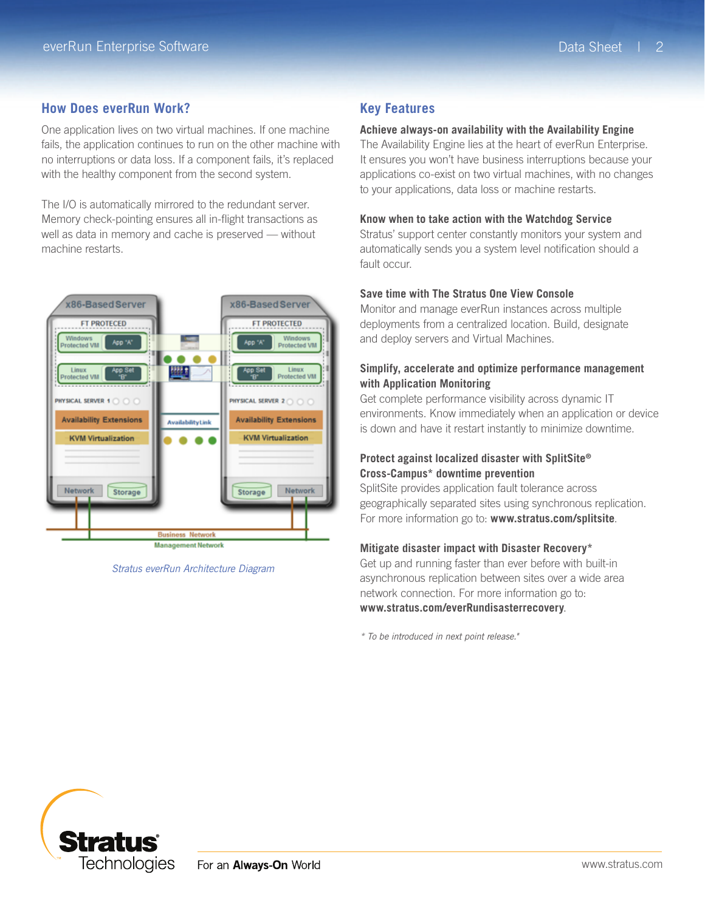# **How Does everRun Work?**

One application lives on two virtual machines. If one machine fails, the application continues to run on the other machine with no interruptions or data loss. If a component fails, it's replaced with the healthy component from the second system.

The I/O is automatically mirrored to the redundant server. Memory check-pointing ensures all in-flight transactions as well as data in memory and cache is preserved — without machine restarts.



*Stratus everRun Architecture Diagram*

## **Key Features**

#### **Achieve always-on availability with the Availability Engine**

The Availability Engine lies at the heart of everRun Enterprise. It ensures you won't have business interruptions because your applications co-exist on two virtual machines, with no changes to your applications, data loss or machine restarts.

#### **Know when to take action with the Watchdog Service**

Stratus' support center constantly monitors your system and automatically sends you a system level notification should a fault occur.

#### **Save time with The Stratus One View Console**

Monitor and manage everRun instances across multiple deployments from a centralized location. Build, designate and deploy servers and Virtual Machines.

#### **Simplify, accelerate and optimize performance management with Application Monitoring**

Get complete performance visibility across dynamic IT environments. Know immediately when an application or device is down and have it restart instantly to minimize downtime.

#### **Protect against localized disaster with SplitSite® Cross-Campus\* downtime prevention**

SplitSite provides application fault tolerance across geographically separated sites using synchronous replication. For more information go to: **<www.stratus.com/splitsite>**.

#### **Mitigate disaster impact with Disaster Recovery\***

Get up and running faster than ever before with built-in asynchronous replication between sites over a wide area network connection. For more information go to: **www.stratus.com/everRundisasterrecovery**.

*\* To be introduced in next point release."*

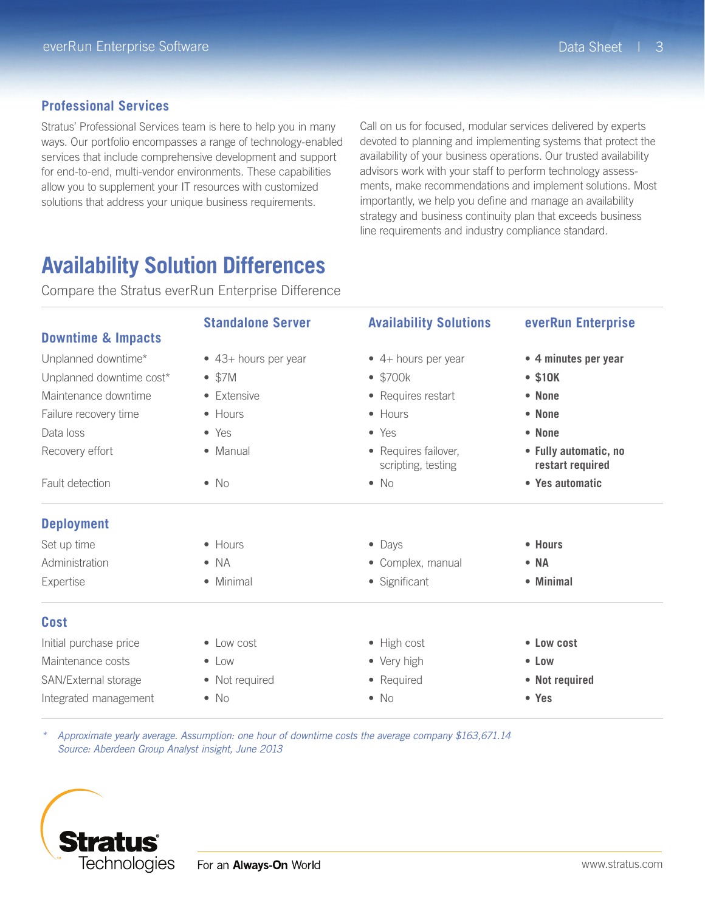### **Professional Services**

Stratus' Professional Services team is here to help you in many ways. Our portfolio encompasses a range of technology-enabled services that include comprehensive development and support for end-to-end, multi-vendor environments. These capabilities allow you to supplement your IT resources with customized solutions that address your unique business requirements.

Call on us for focused, modular services delivered by experts devoted to planning and implementing systems that protect the availability of your business operations. Our trusted availability advisors work with your staff to perform technology assessments, make recommendations and implement solutions. Most importantly, we help you define and manage an availability strategy and business continuity plan that exceeds business line requirements and industry compliance standard.

# **Availability Solution Differences**

Compare the Stratus everRun Enterprise Difference

| <b>Downtime &amp; Impacts</b>                                                                                 | <b>Standalone Server</b>                                                          | <b>Availability Solutions</b>                                                                                | everRun Enterprise                                              |                   |                 |                                            |                                           |
|---------------------------------------------------------------------------------------------------------------|-----------------------------------------------------------------------------------|--------------------------------------------------------------------------------------------------------------|-----------------------------------------------------------------|-------------------|-----------------|--------------------------------------------|-------------------------------------------|
|                                                                                                               | • 43+ hours per year<br>$\bullet$ \$7M<br>• Extensive<br>• Hours<br>$\bullet$ Yes | $\bullet$ 4+ hours per year<br>$\bullet$ \$700 $k$<br>• Requires restart<br>$\bullet$ Hours<br>$\bullet$ Yes | • 4 minutes per year<br>$•$ \$10K<br>• None<br>• None<br>• None |                   |                 |                                            |                                           |
| Unplanned downtime*<br>Unplanned downtime cost*<br>Maintenance downtime<br>Failure recovery time<br>Data loss |                                                                                   |                                                                                                              |                                                                 |                   |                 |                                            |                                           |
|                                                                                                               |                                                                                   |                                                                                                              |                                                                 | Recovery effort   | • Manual        | • Requires failover,<br>scripting, testing | • Fully automatic, no<br>restart required |
|                                                                                                               |                                                                                   |                                                                                                              |                                                                 | Fault detection   | $\bullet$ No    | $\bullet$ No                               | • Yes automatic                           |
|                                                                                                               |                                                                                   |                                                                                                              |                                                                 | <b>Deployment</b> |                 |                                            |                                           |
|                                                                                                               |                                                                                   |                                                                                                              |                                                                 | Set up time       | $\bullet$ Hours | $\bullet$ Days                             | • Hours                                   |
| Administration                                                                                                | $\bullet$ NA                                                                      | • Complex, manual                                                                                            | $\bullet$ NA                                                    |                   |                 |                                            |                                           |
| Expertise                                                                                                     | • Minimal                                                                         | • Significant                                                                                                | • Minimal                                                       |                   |                 |                                            |                                           |
| <b>Cost</b>                                                                                                   |                                                                                   |                                                                                                              |                                                                 |                   |                 |                                            |                                           |
| Initial purchase price                                                                                        | $\bullet$ Low cost                                                                | • High cost                                                                                                  | • Low cost                                                      |                   |                 |                                            |                                           |
| Maintenance costs                                                                                             | $\bullet$ Low                                                                     | • Very high                                                                                                  | $\bullet$ Low                                                   |                   |                 |                                            |                                           |
|                                                                                                               |                                                                                   |                                                                                                              |                                                                 |                   |                 |                                            |                                           |
| SAN/External storage                                                                                          | • Not required                                                                    | • Required                                                                                                   | • Not required                                                  |                   |                 |                                            |                                           |
| Integrated management                                                                                         | $\bullet$ No                                                                      | $\bullet$ No                                                                                                 | • Yes                                                           |                   |                 |                                            |                                           |

*\* Approximate yearly average. Assumption: one hour of downtime costs the average company \$163,671.14 Source: Aberdeen Group Analyst insight, June 2013*